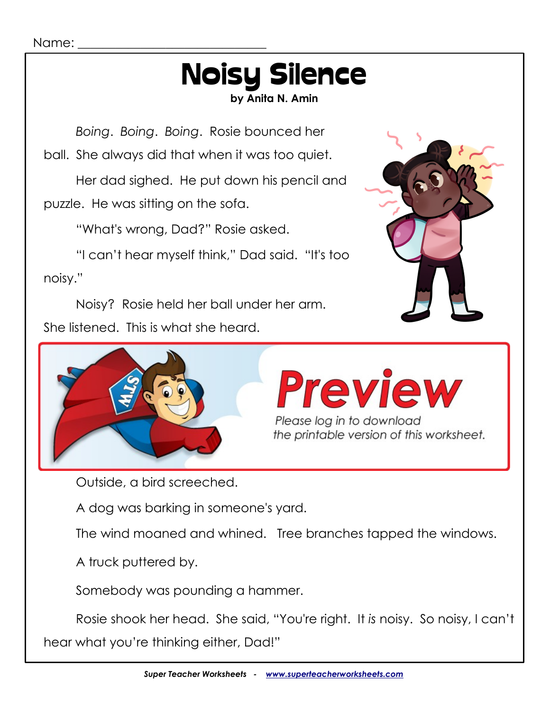## Noisy Silence

**by Anita N. Amin**

*Boing*. *Boing*. *Boing*. Rosie bounced her

ball. She always did that when it was too quiet.

Her dad sighed. He put down his pencil and puzzle. He was sitting on the sofa.

"What's wrong, Dad?" Rosie asked.

"I can't hear myself think," Dad said. "It's too noisy."

Noisy? Rosie held her ball under her arm. She listened. This is what she heard.







Outside, a bird screeched.

A dog was barking in someone's yard.

The wind moaned and whined. Tree branches tapped the windows.

A truck puttered by.

Somebody was pounding a hammer.

Rosie shook her head. She said, "You're right. It *is* noisy. So noisy, I can't hear what you're thinking either, Dad!"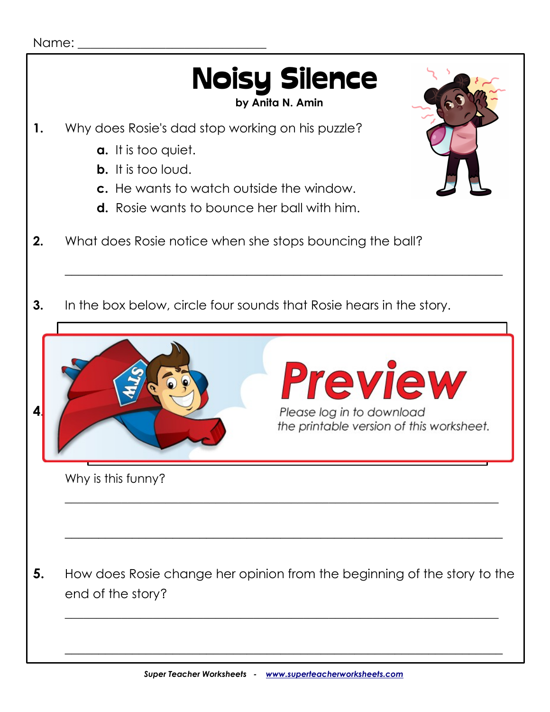#### Name:

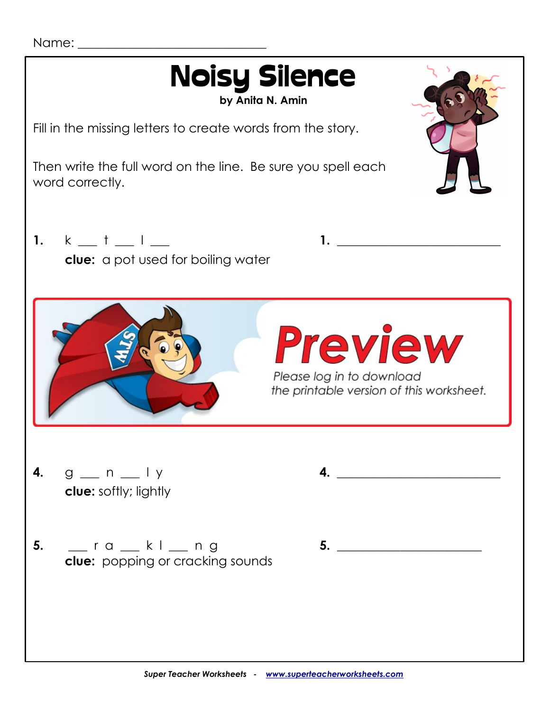Name:

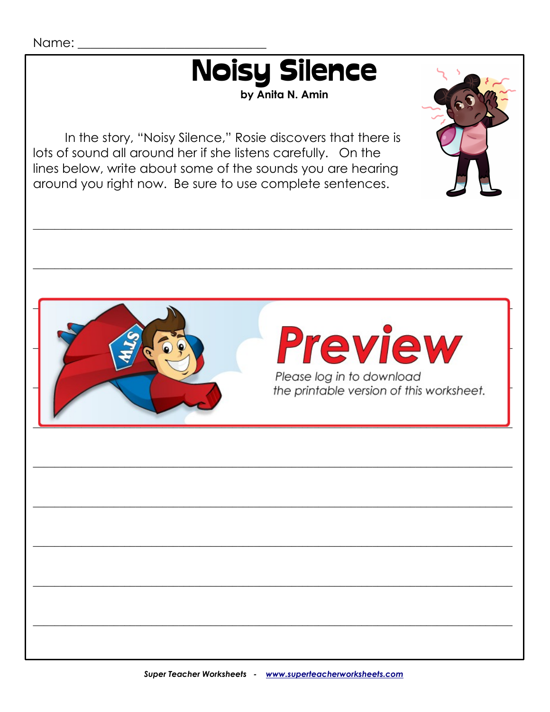

by Anita N. Amin

In the story, "Noisy Silence," Rosie discovers that there is lots of sound all around her if she listens carefully. On the lines below, write about some of the sounds you are hearing around you right now. Be sure to use complete sentences.

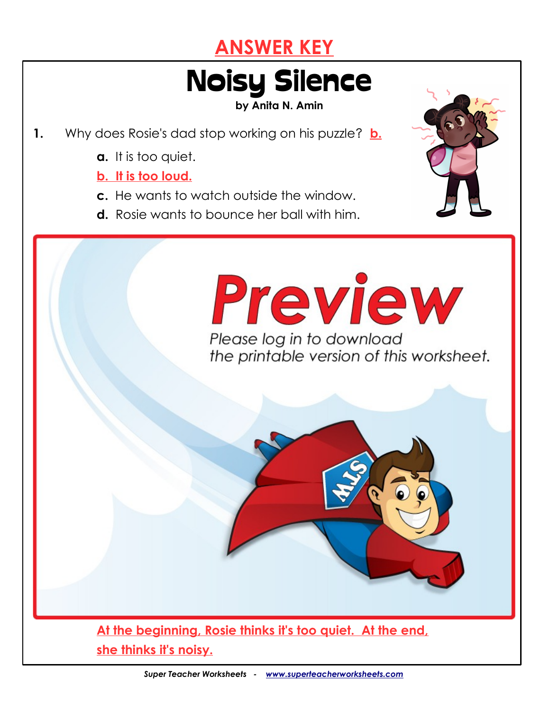### **ANSWER KEY**

# Noisy Silence

**by Anita N. Amin**

- **1.** Why does Rosie's dad stop working on his puzzle? **b.**
	- **a.** It is too quiet.

#### **b. It is too loud.**

- **c.** He wants to watch outside the window.
- **d.** Rosie wants to bounce her ball with him.

**2.** What does Rosie notice when she stops bouncing the ball?



**She notices many sounds occurring around her. 3.** In the box below, circle four sounds that Rosie hears in the story. Please log in to download the printable version of this worksheet. fire crackling ball bouncing floor crackling floor crackling floor creaking car between the creaking car between  $\mathcal{L}_\mathbf{r}$ **4.** Read Rosie's words at the end of the story. *"You're right. It is noisy. So noisy, I can't hear what you're thinking*  **This is funny because you can't hear someone's thoughts. 5.** How does Rosie change her opinion from the beginning of the story to the end of the story? **At the beginning, Rosie thinks it's too quiet. At the end,**

**she thinks it's noisy.**